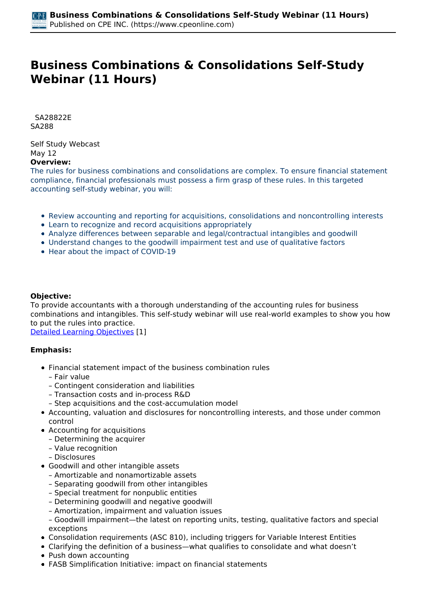# **Business Combinations & Consolidations Self-Study Webinar (11 Hours)**

 *SA28822E SA288* 

*Self Study Webcast May 12*  **Overview:** 

*The rules for business combinations and consolidations are complex. To ensure financial statement compliance, financial professionals must possess a firm grasp of these rules. In this targeted accounting self-study webinar, you will:*

- *Review accounting and reporting for acquisitions, consolidations and noncontrolling interests*
- *Learn to recognize and record acquisitions appropriately*
- *Analyze differences between separable and legal/contractual intangibles and goodwill*
- *Understand changes to the goodwill impairment test and use of qualitative factors*
- *Hear about the impact of COVID-19*

## **Objective:**

*To provide accountants with a thorough understanding of the accounting rules for business combinations and intangibles. This self-study webinar will use real-world examples to show you how to put the rules into practice.*

*[Detailed Learning Objectives](https://www.cpeonline.com/JavaScript:showObjectivesPopup();) [1]*

#### **Emphasis:**

- *Financial statement impact of the business combination rules*
	- *Fair value*
	- *Contingent consideration and liabilities*
	- *Transaction costs and in-process R&D*
	- *Step acquisitions and the cost-accumulation model*
- *Accounting, valuation and disclosures for noncontrolling interests, and those under common control*
- *Accounting for acquisitions*
	- *Determining the acquirer*
	- *Value recognition*
	- *Disclosures*
- *Goodwill and other intangible assets*
	- *Amortizable and nonamortizable assets*
	- *Separating goodwill from other intangibles*
	- *Special treatment for nonpublic entities*
	- *Determining goodwill and negative goodwill*
	- *Amortization, impairment and valuation issues*
	- *Goodwill impairment—the latest on reporting units, testing, qualitative factors and special exceptions*
- *Consolidation requirements (ASC 810), including triggers for Variable Interest Entities*
- *Clarifying the definition of a business—what qualifies to consolidate and what doesn't*
- *Push down accounting*
- *FASB Simplification Initiative: impact on financial statements*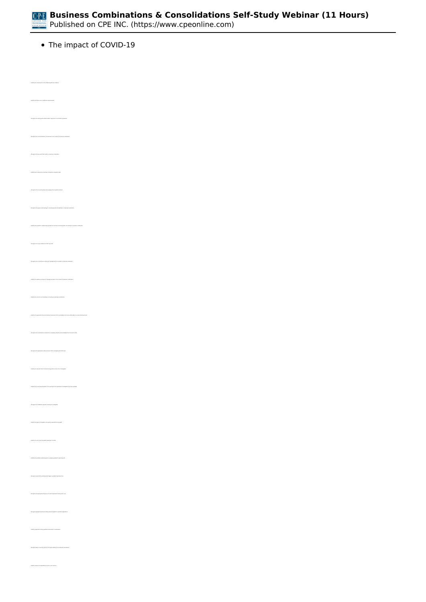*The impact of COVID-19*

*• Identify the future role of codification improvements • Recognize accounting authoritative bodies' responses to the COVID-19 pandemic • Identify how to determine a business combination acquisition date • Recognize the accounting steps when applying the acquisition method • Identify the acquisition method step typically the most time-consuming when accounting for a business combination • Recognize the scope limitations of ASC Topic 805 • Recognize the circumstances under which goodwill will be recorded in a business combination • Identify the appropriate financial statement placement of the consolidated net income attributable to a noncontrolling interest • Recognize the circumstances under which a subsidiary should be deconsolidated from the parent entity • Recognize the appropriate useful economic life for intangibles with finite lives • Identify the relevant factors for determining useful economic life of intangibles • Recognize the traditional valuation measures for intangibles • Identify the types of intangibles not typically separated from goodwill • Identify the unit at which goodwill impairment is tested • Identify the available methodologies for assigning goodwill to reporting units • Recognize events that would typically trigger a goodwill impairment test • Recognize the appropriate frequency for which impairment testing must occur • Identify impairment testing qualitative assessment considerations*

*• Identify reasons for organizations to form a joint venture*